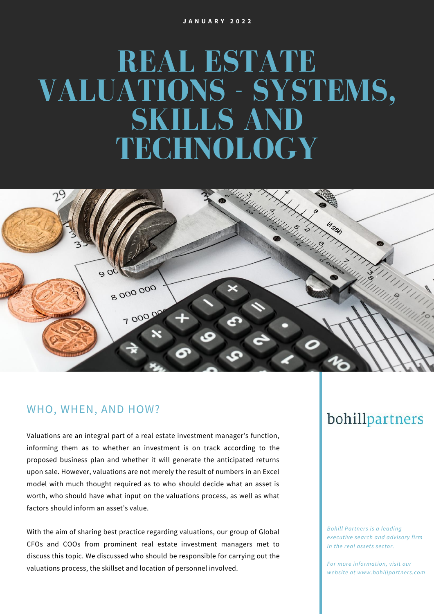# **REAL ESTATE VALUATIONS - SYSTEMS, SKILLS AND TECHNOLOGY**



#### WHO, WHEN, AND HOW?

Valuations are an integral part of a real estate investment manager's function, informing them as to whether an investment is on track according to the proposed business plan and whether it will generate the anticipated returns upon sale. However, valuations are not merely the result of numbers in an Excel model with much thought required as to who should decide what an asset is worth, who should have what input on the valuations process, as well as what factors should inform an asset's value.

With the aim of sharing best practice regarding valuations, our group of Global CFOs and COOs from prominent real estate investment managers met to discuss this topic. We discussed who should be responsible for carrying out the valuations process, the skillset and location of personnel involved.

### bohillpartners

*Bohill Partners is a leading executive search and advisory firm in the real assets sector.*

*For more information, visit our website at www.bohillpartners.com*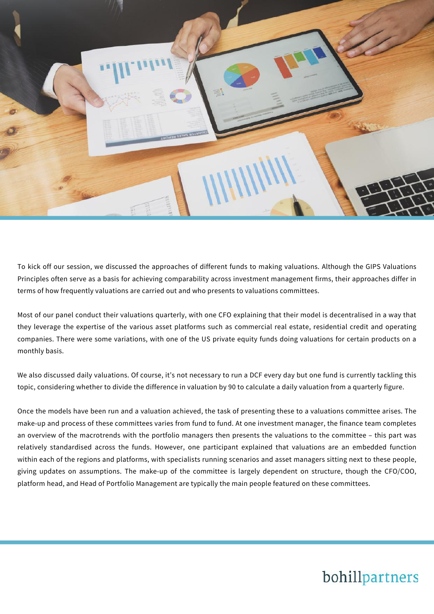

To kick off our session, we discussed the approaches of different funds to making valuations. Although the GIPS Valuations Principles often serve as a basis for achieving comparability across investment management firms, their approaches differ in terms of how frequently valuations are carried out and who presents to valuations committees.

Most of our panel conduct their valuations quarterly, with one CFO explaining that their model is decentralised in a way that they leverage the expertise of the various asset platforms such as commercial real estate, residential credit and operating companies. There were some variations, with one of the US private equity funds doing valuations for certain products on a monthly basis.

We also discussed daily valuations. Of course, it's not necessary to run a DCF every day but one fund is currently tackling this topic, considering whether to divide the difference in valuation by 90 to calculate a daily valuation from a quarterly figure.

Once the models have been run and a valuation achieved, the task of presenting these to a valuations committee arises. The make-up and process of these committees varies from fund to fund. At one investment manager, the finance team completes an overview of the macrotrends with the portfolio managers then presents the valuations to the committee – this part was relatively standardised across the funds. However, one participant explained that valuations are an embedded function within each of the regions and platforms, with specialists running scenarios and asset managers sitting next to these people, giving updates on assumptions. The make-up of the committee is largely dependent on structure, though the CFO/COO, platform head, and Head of Portfolio Management are typically the main people featured on these committees.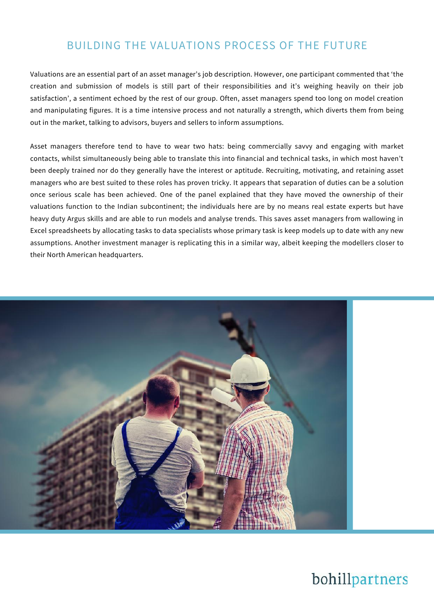#### BUILDING THE VALUATIONS PROCESS OF THE FUTURE

Valuations are an essential part of an asset manager's job description. However, one participant commented that 'the creation and submission of models is still part of their responsibilities and it's weighing heavily on their job satisfaction', a sentiment echoed by the rest of our group. Often, asset managers spend too long on model creation and manipulating figures. It is a time intensive process and not naturally a strength, which diverts them from being out in the market, talking to advisors, buyers and sellers to inform assumptions.

Asset managers therefore tend to have to wear two hats: being commercially savvy and engaging with market contacts, whilst simultaneously being able to translate this into financial and technical tasks, in which most haven't been deeply trained nor do they generally have the interest or aptitude. Recruiting, motivating, and retaining asset managers who are best suited to these roles has proven tricky. It appears that separation of duties can be a solution once serious scale has been achieved. One of the panel explained that they have moved the ownership of their valuations function to the Indian subcontinent; the individuals here are by no means real estate experts but have heavy duty Argus skills and are able to run models and analyse trends. This saves asset managers from wallowing in Excel spreadsheets by allocating tasks to data specialists whose primary task is keep models up to date with any new assumptions. Another investment manager is replicating this in a similar way, albeit keeping the modellers closer to their North American headquarters.

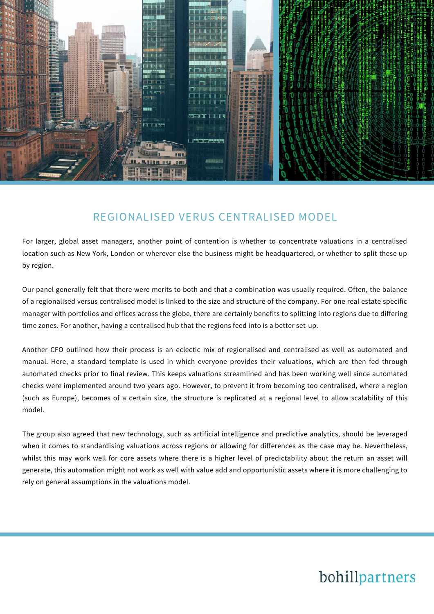

#### REGIONALISED VERUS CENTRALISED MODEL

For larger, global asset managers, another point of contention is whether to concentrate valuations in a centralised location such as New York, London or wherever else the business might be headquartered, or whether to split these up by region.

Our panel generally felt that there were merits to both and that a combination was usually required. Often, the balance of a regionalised versus centralised model is linked to the size and structure of the company. For one real estate specific manager with portfolios and offices across the globe, there are certainly benefits to splitting into regions due to differing time zones. For another, having a centralised hub that the regions feed into is a better set-up.

Another CFO outlined how their process is an eclectic mix of regionalised and centralised as well as automated and manual. Here, a standard template is used in which everyone provides their valuations, which are then fed through automated checks prior to final review. This keeps valuations streamlined and has been working well since automated checks were implemented around two years ago. However, to prevent it from becoming too centralised, where a region (such as Europe), becomes of a certain size, the structure is replicated at a regional level to allow scalability of this model.

The group also agreed that new technology, such as artificial intelligence and predictive analytics, should be leveraged when it comes to standardising valuations across regions or allowing for differences as the case may be. Nevertheless, whilst this may work well for core assets where there is a higher level of predictability about the return an asset will generate, this automation might not work as well with value add and opportunistic assets where it is more challenging to rely on general assumptions in the valuations model.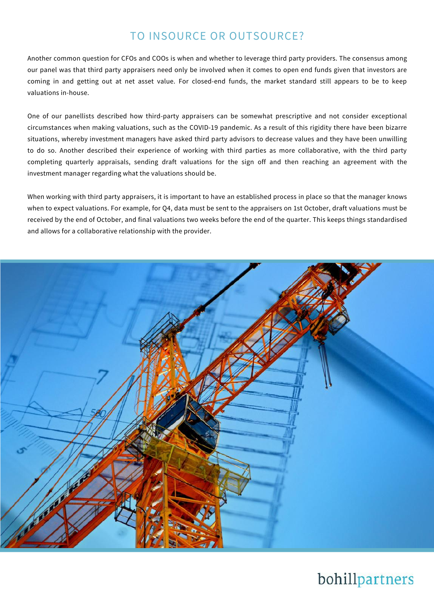#### TO INSOURCE OR OUTSOURCE?

Another common question for CFOs and COOs is when and whether to leverage third party providers. The consensus among our panel was that third party appraisers need only be involved when it comes to open end funds given that investors are coming in and getting out at net asset value. For closed-end funds, the market standard still appears to be to keep valuations in-house.

One of our panellists described how third-party appraisers can be somewhat prescriptive and not consider exceptional circumstances when making valuations, such as the COVID-19 pandemic. As a result of this rigidity there have been bizarre situations, whereby investment managers have asked third party advisors to decrease values and they have been unwilling to do so. Another described their experience of working with third parties as more collaborative, with the third party completing quarterly appraisals, sending draft valuations for the sign off and then reaching an agreement with the investment manager regarding what the valuations should be.

When working with third party appraisers, it is important to have an established process in place so that the manager knows when to expect valuations. For example, for Q4, data must be sent to the appraisers on 1st October, draft valuations must be received by the end of October, and final valuations two weeks before the end of the quarter. This keeps things standardised and allows for a collaborative relationship with the provider.

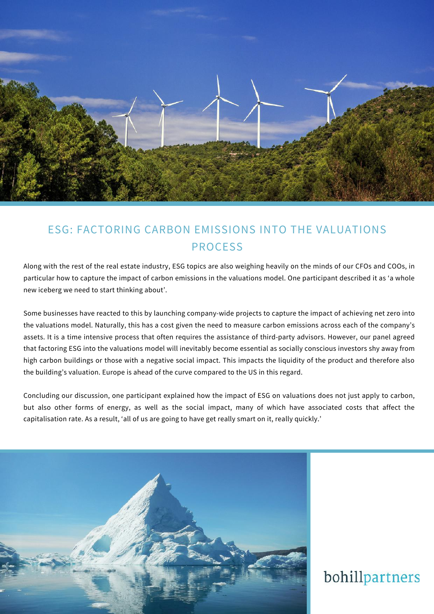

### ESG: FACTORING CARBON EMISSIONS INTO THE VALUATIONS PROCESS

Along with the rest of the real estate industry, ESG topics are also weighing heavily on the minds of our CFOs and COOs, in particular how to capture the impact of carbon emissions in the valuations model. One participant described it as 'a whole new iceberg we need to start thinking about'.

Some businesses have reacted to this by launching company-wide projects to capture the impact of achieving net zero into the valuations model. Naturally, this has a cost given the need to measure carbon emissions across each of the company's assets. It is a time intensive process that often requires the assistance of third-party advisors. However, our panel agreed that factoring ESG into the valuations model will inevitably become essential as socially conscious investors shy away from high carbon buildings or those with a negative social impact. This impacts the liquidity of the product and therefore also the building's valuation. Europe is ahead of the curve compared to the US in this regard.

Concluding our discussion, one participant explained how the impact of ESG on valuations does not just apply to carbon, but also other forms of energy, as well as the social impact, many of which have associated costs that affect the capitalisation rate. As a result, 'all of us are going to have get really smart on it, really quickly.'